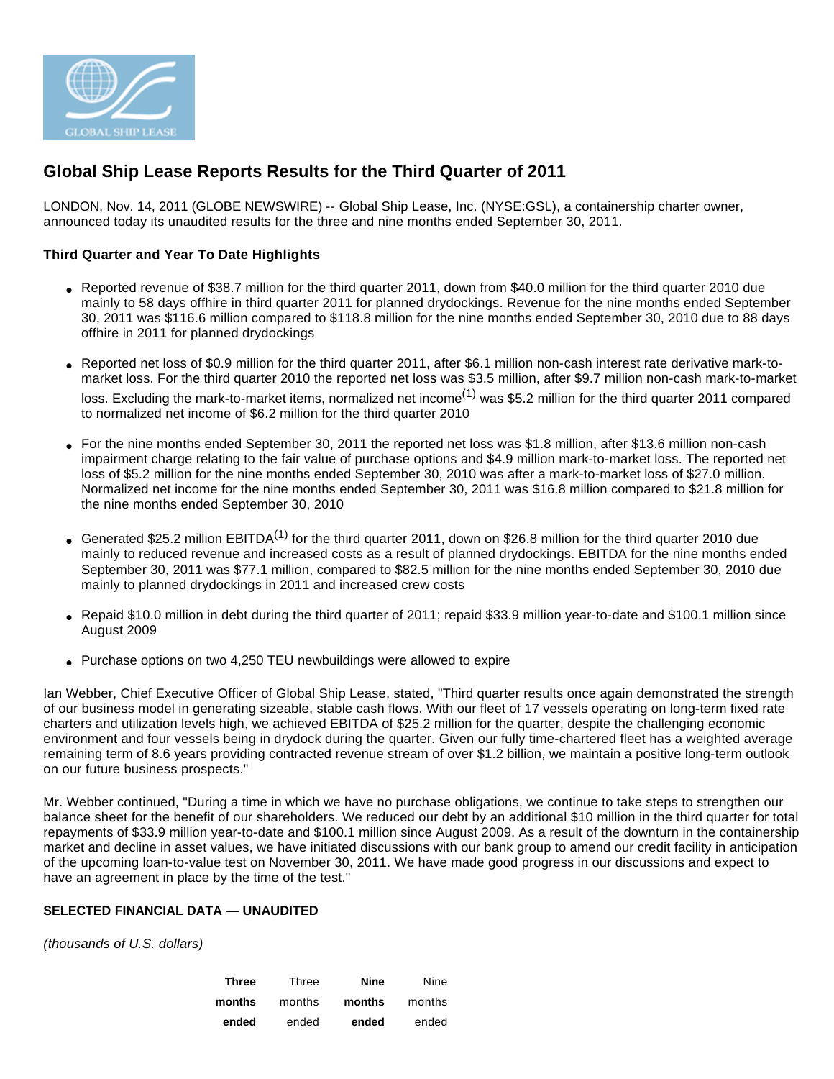

# **Global Ship Lease Reports Results for the Third Quarter of 2011**

LONDON, Nov. 14, 2011 (GLOBE NEWSWIRE) -- Global Ship Lease, Inc. (NYSE:GSL), a containership charter owner, announced today its unaudited results for the three and nine months ended September 30, 2011.

## **Third Quarter and Year To Date Highlights**

- Reported revenue of \$38.7 million for the third quarter 2011, down from \$40.0 million for the third quarter 2010 due mainly to 58 days offhire in third quarter 2011 for planned drydockings. Revenue for the nine months ended September 30, 2011 was \$116.6 million compared to \$118.8 million for the nine months ended September 30, 2010 due to 88 days offhire in 2011 for planned drydockings
- Reported net loss of \$0.9 million for the third quarter 2011, after \$6.1 million non-cash interest rate derivative mark-tomarket loss. For the third quarter 2010 the reported net loss was \$3.5 million, after \$9.7 million non-cash mark-to-market loss. Excluding the mark-to-market items, normalized net income<sup>(1)</sup> was \$5.2 million for the third quarter 2011 compared to normalized net income of \$6.2 million for the third quarter 2010
- For the nine months ended September 30, 2011 the reported net loss was \$1.8 million, after \$13.6 million non-cash impairment charge relating to the fair value of purchase options and \$4.9 million mark-to-market loss. The reported net loss of \$5.2 million for the nine months ended September 30, 2010 was after a mark-to-market loss of \$27.0 million. Normalized net income for the nine months ended September 30, 2011 was \$16.8 million compared to \$21.8 million for the nine months ended September 30, 2010
- Generated \$25.2 million EBITDA<sup>(1)</sup> for the third quarter 2011, down on \$26.8 million for the third quarter 2010 due mainly to reduced revenue and increased costs as a result of planned drydockings. EBITDA for the nine months ended September 30, 2011 was \$77.1 million, compared to \$82.5 million for the nine months ended September 30, 2010 due mainly to planned drydockings in 2011 and increased crew costs
- Repaid \$10.0 million in debt during the third quarter of 2011; repaid \$33.9 million year-to-date and \$100.1 million since August 2009
- Purchase options on two 4,250 TEU newbuildings were allowed to expire

Ian Webber, Chief Executive Officer of Global Ship Lease, stated, "Third quarter results once again demonstrated the strength of our business model in generating sizeable, stable cash flows. With our fleet of 17 vessels operating on long-term fixed rate charters and utilization levels high, we achieved EBITDA of \$25.2 million for the quarter, despite the challenging economic environment and four vessels being in drydock during the quarter. Given our fully time-chartered fleet has a weighted average remaining term of 8.6 years providing contracted revenue stream of over \$1.2 billion, we maintain a positive long-term outlook on our future business prospects."

Mr. Webber continued, "During a time in which we have no purchase obligations, we continue to take steps to strengthen our balance sheet for the benefit of our shareholders. We reduced our debt by an additional \$10 million in the third quarter for total repayments of \$33.9 million year-to-date and \$100.1 million since August 2009. As a result of the downturn in the containership market and decline in asset values, we have initiated discussions with our bank group to amend our credit facility in anticipation of the upcoming loan-to-value test on November 30, 2011. We have made good progress in our discussions and expect to have an agreement in place by the time of the test."

### **SELECTED FINANCIAL DATA — UNAUDITED**

(thousands of U.S. dollars)

| Nine   | Nine   | Three  | <b>Three</b> |
|--------|--------|--------|--------------|
| months | months | months | months       |
| ended  | ended  | ended  | ended        |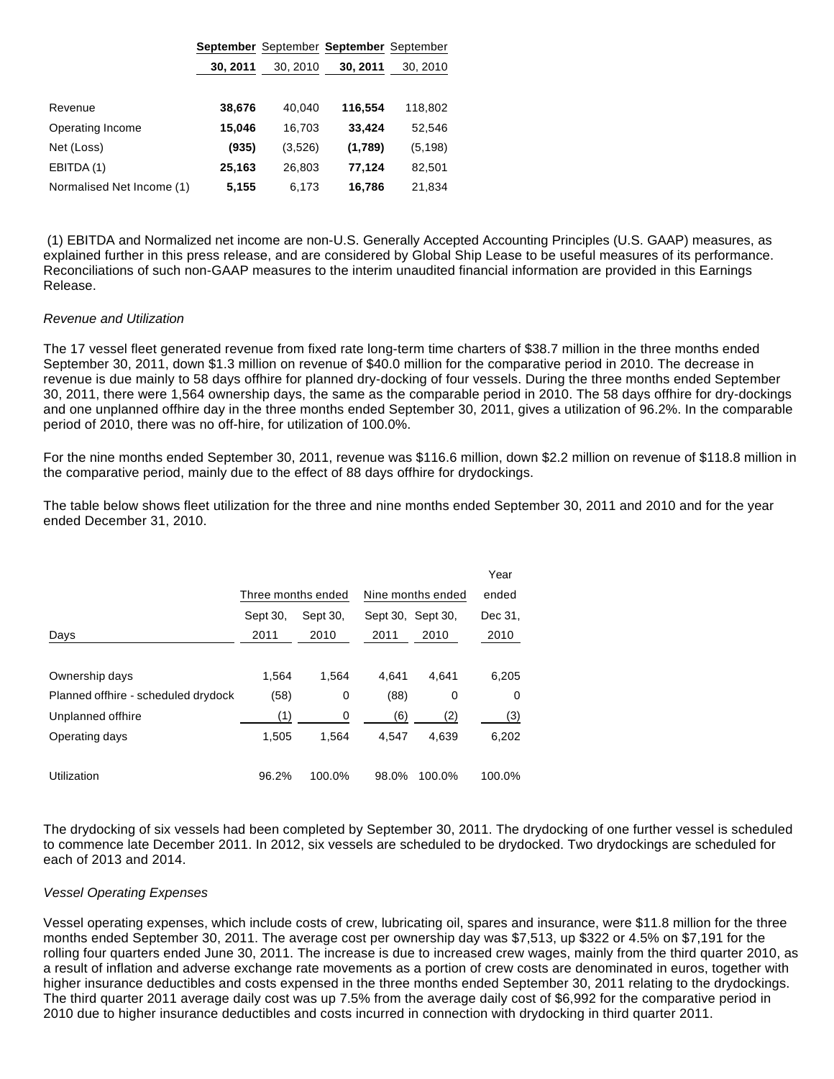|                           |          |          | September September September September |          |
|---------------------------|----------|----------|-----------------------------------------|----------|
|                           | 30, 2011 | 30, 2010 | 30, 2011                                | 30, 2010 |
|                           |          |          |                                         |          |
| Revenue                   | 38,676   | 40,040   | 116,554                                 | 118,802  |
| Operating Income          | 15,046   | 16,703   | 33,424                                  | 52,546   |
| Net (Loss)                | (935)    | (3,526)  | (1,789)                                 | (5, 198) |
| EBITDA (1)                | 25,163   | 26,803   | 77,124                                  | 82,501   |
| Normalised Net Income (1) | 5,155    | 6,173    | 16,786                                  | 21,834   |

 (1) EBITDA and Normalized net income are non-U.S. Generally Accepted Accounting Principles (U.S. GAAP) measures, as explained further in this press release, and are considered by Global Ship Lease to be useful measures of its performance. Reconciliations of such non-GAAP measures to the interim unaudited financial information are provided in this Earnings Release.

#### Revenue and Utilization

The 17 vessel fleet generated revenue from fixed rate long-term time charters of \$38.7 million in the three months ended September 30, 2011, down \$1.3 million on revenue of \$40.0 million for the comparative period in 2010. The decrease in revenue is due mainly to 58 days offhire for planned dry-docking of four vessels. During the three months ended September 30, 2011, there were 1,564 ownership days, the same as the comparable period in 2010. The 58 days offhire for dry-dockings and one unplanned offhire day in the three months ended September 30, 2011, gives a utilization of 96.2%. In the comparable period of 2010, there was no off-hire, for utilization of 100.0%.

For the nine months ended September 30, 2011, revenue was \$116.6 million, down \$2.2 million on revenue of \$118.8 million in the comparative period, mainly due to the effect of 88 days offhire for drydockings.

The table below shows fleet utilization for the three and nine months ended September 30, 2011 and 2010 and for the year ended December 31, 2010.

|                                     |                    |          |                   |        | Year    |
|-------------------------------------|--------------------|----------|-------------------|--------|---------|
|                                     | Three months ended |          | Nine months ended |        |         |
|                                     | Sept 30,           | Sept 30, | Sept 30, Sept 30, |        | Dec 31, |
| Days                                | 2011               | 2010     | 2011              | 2010   | 2010    |
|                                     |                    |          |                   |        |         |
| Ownership days                      | 1.564              | 1.564    | 4.641             | 4.641  | 6,205   |
| Planned offhire - scheduled drydock | (58)               | 0        | (88)              | 0      | 0       |
| Unplanned offhire                   | (1)                | 0        | (6)               | (2)    | (3)     |
| Operating days                      | 1,505              | 1,564    | 4.547             | 4.639  | 6,202   |
|                                     |                    |          |                   |        |         |
| Utilization                         | 96.2%              | 100.0%   | 98.0%             | 100.0% | 100.0%  |

The drydocking of six vessels had been completed by September 30, 2011. The drydocking of one further vessel is scheduled to commence late December 2011. In 2012, six vessels are scheduled to be drydocked. Two drydockings are scheduled for each of 2013 and 2014.

### Vessel Operating Expenses

Vessel operating expenses, which include costs of crew, lubricating oil, spares and insurance, were \$11.8 million for the three months ended September 30, 2011. The average cost per ownership day was \$7,513, up \$322 or 4.5% on \$7,191 for the rolling four quarters ended June 30, 2011. The increase is due to increased crew wages, mainly from the third quarter 2010, as a result of inflation and adverse exchange rate movements as a portion of crew costs are denominated in euros, together with higher insurance deductibles and costs expensed in the three months ended September 30, 2011 relating to the drydockings. The third quarter 2011 average daily cost was up 7.5% from the average daily cost of \$6,992 for the comparative period in 2010 due to higher insurance deductibles and costs incurred in connection with drydocking in third quarter 2011.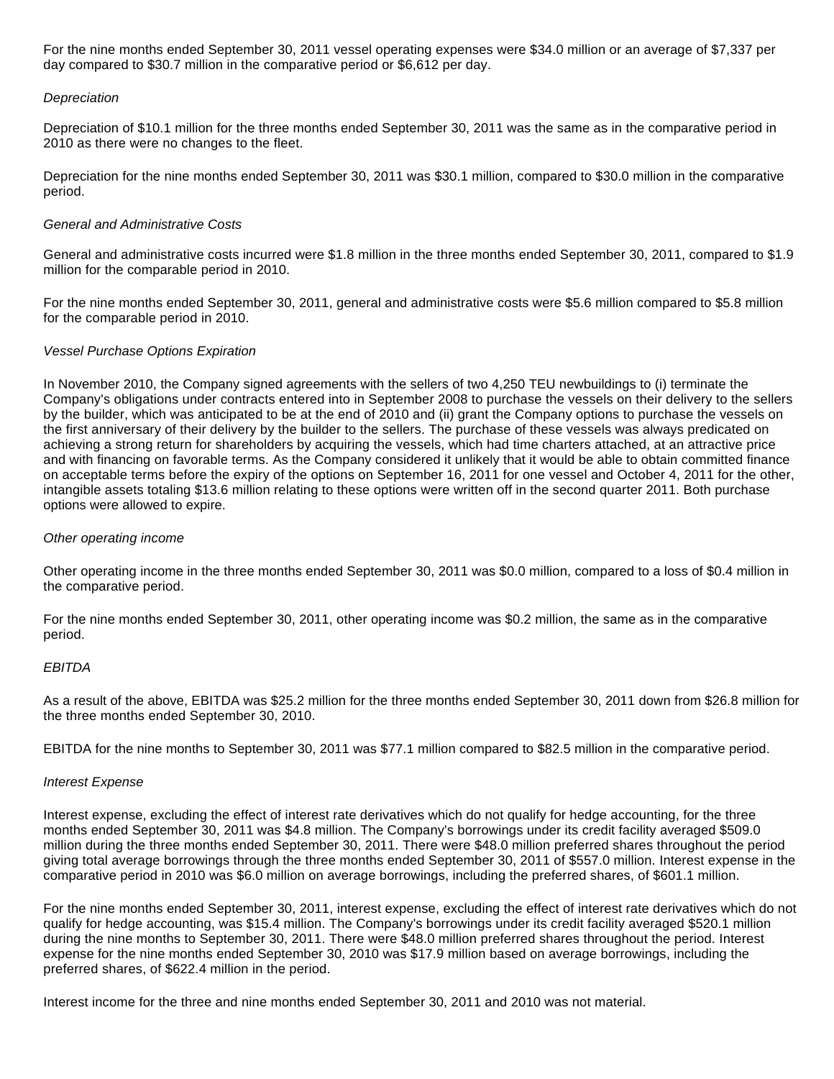For the nine months ended September 30, 2011 vessel operating expenses were \$34.0 million or an average of \$7,337 per day compared to \$30.7 million in the comparative period or \$6,612 per day.

#### **Depreciation**

Depreciation of \$10.1 million for the three months ended September 30, 2011 was the same as in the comparative period in 2010 as there were no changes to the fleet.

Depreciation for the nine months ended September 30, 2011 was \$30.1 million, compared to \$30.0 million in the comparative period.

#### General and Administrative Costs

General and administrative costs incurred were \$1.8 million in the three months ended September 30, 2011, compared to \$1.9 million for the comparable period in 2010.

For the nine months ended September 30, 2011, general and administrative costs were \$5.6 million compared to \$5.8 million for the comparable period in 2010.

#### Vessel Purchase Options Expiration

In November 2010, the Company signed agreements with the sellers of two 4,250 TEU newbuildings to (i) terminate the Company's obligations under contracts entered into in September 2008 to purchase the vessels on their delivery to the sellers by the builder, which was anticipated to be at the end of 2010 and (ii) grant the Company options to purchase the vessels on the first anniversary of their delivery by the builder to the sellers. The purchase of these vessels was always predicated on achieving a strong return for shareholders by acquiring the vessels, which had time charters attached, at an attractive price and with financing on favorable terms. As the Company considered it unlikely that it would be able to obtain committed finance on acceptable terms before the expiry of the options on September 16, 2011 for one vessel and October 4, 2011 for the other, intangible assets totaling \$13.6 million relating to these options were written off in the second quarter 2011. Both purchase options were allowed to expire.

#### Other operating income

Other operating income in the three months ended September 30, 2011 was \$0.0 million, compared to a loss of \$0.4 million in the comparative period.

For the nine months ended September 30, 2011, other operating income was \$0.2 million, the same as in the comparative period.

#### **EBITDA**

As a result of the above, EBITDA was \$25.2 million for the three months ended September 30, 2011 down from \$26.8 million for the three months ended September 30, 2010.

EBITDA for the nine months to September 30, 2011 was \$77.1 million compared to \$82.5 million in the comparative period.

#### Interest Expense

Interest expense, excluding the effect of interest rate derivatives which do not qualify for hedge accounting, for the three months ended September 30, 2011 was \$4.8 million. The Company's borrowings under its credit facility averaged \$509.0 million during the three months ended September 30, 2011. There were \$48.0 million preferred shares throughout the period giving total average borrowings through the three months ended September 30, 2011 of \$557.0 million. Interest expense in the comparative period in 2010 was \$6.0 million on average borrowings, including the preferred shares, of \$601.1 million.

For the nine months ended September 30, 2011, interest expense, excluding the effect of interest rate derivatives which do not qualify for hedge accounting, was \$15.4 million. The Company's borrowings under its credit facility averaged \$520.1 million during the nine months to September 30, 2011. There were \$48.0 million preferred shares throughout the period. Interest expense for the nine months ended September 30, 2010 was \$17.9 million based on average borrowings, including the preferred shares, of \$622.4 million in the period.

Interest income for the three and nine months ended September 30, 2011 and 2010 was not material.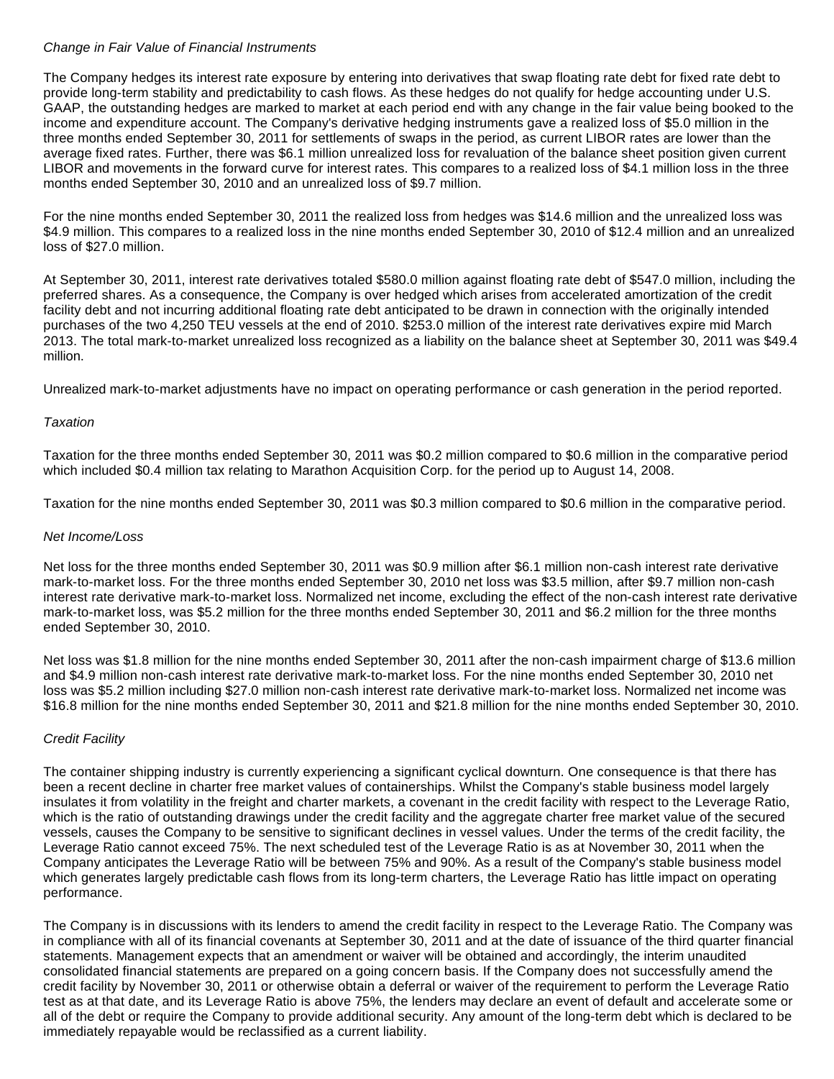### Change in Fair Value of Financial Instruments

The Company hedges its interest rate exposure by entering into derivatives that swap floating rate debt for fixed rate debt to provide long-term stability and predictability to cash flows. As these hedges do not qualify for hedge accounting under U.S. GAAP, the outstanding hedges are marked to market at each period end with any change in the fair value being booked to the income and expenditure account. The Company's derivative hedging instruments gave a realized loss of \$5.0 million in the three months ended September 30, 2011 for settlements of swaps in the period, as current LIBOR rates are lower than the average fixed rates. Further, there was \$6.1 million unrealized loss for revaluation of the balance sheet position given current LIBOR and movements in the forward curve for interest rates. This compares to a realized loss of \$4.1 million loss in the three months ended September 30, 2010 and an unrealized loss of \$9.7 million.

For the nine months ended September 30, 2011 the realized loss from hedges was \$14.6 million and the unrealized loss was \$4.9 million. This compares to a realized loss in the nine months ended September 30, 2010 of \$12.4 million and an unrealized loss of \$27.0 million.

At September 30, 2011, interest rate derivatives totaled \$580.0 million against floating rate debt of \$547.0 million, including the preferred shares. As a consequence, the Company is over hedged which arises from accelerated amortization of the credit facility debt and not incurring additional floating rate debt anticipated to be drawn in connection with the originally intended purchases of the two 4,250 TEU vessels at the end of 2010. \$253.0 million of the interest rate derivatives expire mid March 2013. The total mark-to-market unrealized loss recognized as a liability on the balance sheet at September 30, 2011 was \$49.4 million.

Unrealized mark-to-market adjustments have no impact on operating performance or cash generation in the period reported.

## **Taxation**

Taxation for the three months ended September 30, 2011 was \$0.2 million compared to \$0.6 million in the comparative period which included \$0.4 million tax relating to Marathon Acquisition Corp. for the period up to August 14, 2008.

Taxation for the nine months ended September 30, 2011 was \$0.3 million compared to \$0.6 million in the comparative period.

## Net Income/Loss

Net loss for the three months ended September 30, 2011 was \$0.9 million after \$6.1 million non-cash interest rate derivative mark-to-market loss. For the three months ended September 30, 2010 net loss was \$3.5 million, after \$9.7 million non-cash interest rate derivative mark-to-market loss. Normalized net income, excluding the effect of the non-cash interest rate derivative mark-to-market loss, was \$5.2 million for the three months ended September 30, 2011 and \$6.2 million for the three months ended September 30, 2010.

Net loss was \$1.8 million for the nine months ended September 30, 2011 after the non-cash impairment charge of \$13.6 million and \$4.9 million non-cash interest rate derivative mark-to-market loss. For the nine months ended September 30, 2010 net loss was \$5.2 million including \$27.0 million non-cash interest rate derivative mark-to-market loss. Normalized net income was \$16.8 million for the nine months ended September 30, 2011 and \$21.8 million for the nine months ended September 30, 2010.

## Credit Facility

The container shipping industry is currently experiencing a significant cyclical downturn. One consequence is that there has been a recent decline in charter free market values of containerships. Whilst the Company's stable business model largely insulates it from volatility in the freight and charter markets, a covenant in the credit facility with respect to the Leverage Ratio, which is the ratio of outstanding drawings under the credit facility and the aggregate charter free market value of the secured vessels, causes the Company to be sensitive to significant declines in vessel values. Under the terms of the credit facility, the Leverage Ratio cannot exceed 75%. The next scheduled test of the Leverage Ratio is as at November 30, 2011 when the Company anticipates the Leverage Ratio will be between 75% and 90%. As a result of the Company's stable business model which generates largely predictable cash flows from its long-term charters, the Leverage Ratio has little impact on operating performance.

The Company is in discussions with its lenders to amend the credit facility in respect to the Leverage Ratio. The Company was in compliance with all of its financial covenants at September 30, 2011 and at the date of issuance of the third quarter financial statements. Management expects that an amendment or waiver will be obtained and accordingly, the interim unaudited consolidated financial statements are prepared on a going concern basis. If the Company does not successfully amend the credit facility by November 30, 2011 or otherwise obtain a deferral or waiver of the requirement to perform the Leverage Ratio test as at that date, and its Leverage Ratio is above 75%, the lenders may declare an event of default and accelerate some or all of the debt or require the Company to provide additional security. Any amount of the long-term debt which is declared to be immediately repayable would be reclassified as a current liability.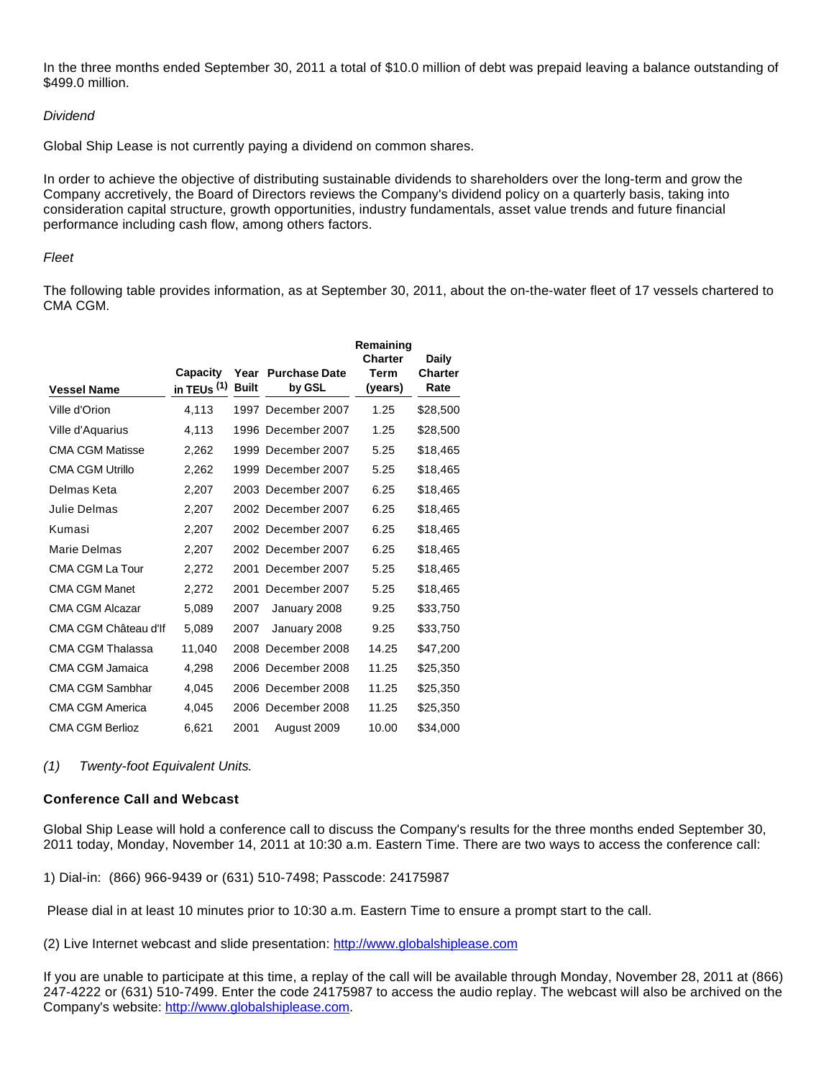In the three months ended September 30, 2011 a total of \$10.0 million of debt was prepaid leaving a balance outstanding of \$499.0 million.

#### **Dividend**

Global Ship Lease is not currently paying a dividend on common shares.

In order to achieve the objective of distributing sustainable dividends to shareholders over the long-term and grow the Company accretively, the Board of Directors reviews the Company's dividend policy on a quarterly basis, taking into consideration capital structure, growth opportunities, industry fundamentals, asset value trends and future financial performance including cash flow, among others factors.

### Fleet

The following table provides information, as at September 30, 2011, about the on-the-water fleet of 17 vessels chartered to CMA CGM.

|                         |                                    |              |                              | Remaining                                |                          |
|-------------------------|------------------------------------|--------------|------------------------------|------------------------------------------|--------------------------|
| <b>Vessel Name</b>      | Capacity<br>in TEUs <sup>(1)</sup> | <b>Built</b> | Year Purchase Date<br>by GSL | <b>Charter</b><br><b>Term</b><br>(years) | Daily<br>Charter<br>Rate |
| Ville d'Orion           | 4,113                              |              | 1997 December 2007           | 1.25                                     | \$28,500                 |
| Ville d'Aquarius        | 4,113                              |              | 1996 December 2007           | 1.25                                     | \$28,500                 |
| <b>CMA CGM Matisse</b>  | 2,262                              |              | 1999 December 2007           | 5.25                                     | \$18,465                 |
| <b>CMA CGM Utrillo</b>  | 2,262                              |              | 1999 December 2007           | 5.25                                     | \$18,465                 |
| Delmas Keta             | 2,207                              |              | 2003 December 2007           | 6.25                                     | \$18,465                 |
| Julie Delmas            | 2,207                              |              | 2002 December 2007           | 6.25                                     | \$18,465                 |
| Kumasi                  | 2,207                              |              | 2002 December 2007           | 6.25                                     | \$18,465                 |
| Marie Delmas            | 2,207                              |              | 2002 December 2007           | 6.25                                     | \$18,465                 |
| CMA CGM La Tour         | 2,272                              | 2001         | December 2007                | 5.25                                     | \$18,465                 |
| <b>CMA CGM Manet</b>    | 2,272                              | 2001         | December 2007                | 5.25                                     | \$18,465                 |
| <b>CMA CGM Alcazar</b>  | 5,089                              | 2007         | January 2008                 | 9.25                                     | \$33,750                 |
| CMA CGM Château d'If    | 5,089                              | 2007         | January 2008                 | 9.25                                     | \$33,750                 |
| <b>CMA CGM Thalassa</b> | 11,040                             |              | 2008 December 2008           | 14.25                                    | \$47,200                 |
| CMA CGM Jamaica         | 4,298                              |              | 2006 December 2008           | 11.25                                    | \$25,350                 |
| CMA CGM Sambhar         | 4,045                              |              | 2006 December 2008           | 11.25                                    | \$25,350                 |
| CMA CGM America         | 4,045                              |              | 2006 December 2008           | 11.25                                    | \$25,350                 |
| CMA CGM Berlioz         | 6,621                              | 2001         | August 2009                  | 10.00                                    | \$34,000                 |

#### (1) Twenty-foot Equivalent Units.

#### **Conference Call and Webcast**

Global Ship Lease will hold a conference call to discuss the Company's results for the three months ended September 30, 2011 today, Monday, November 14, 2011 at 10:30 a.m. Eastern Time. There are two ways to access the conference call:

1) Dial-in: (866) 966-9439 or (631) 510-7498; Passcode: 24175987

Please dial in at least 10 minutes prior to 10:30 a.m. Eastern Time to ensure a prompt start to the call.

(2) Live Internet webcast and slide presentation: [http://www.globalshiplease.com](http://www.globalshiplease.com/)

If you are unable to participate at this time, a replay of the call will be available through Monday, November 28, 2011 at (866) 247-4222 or (631) 510-7499. Enter the code 24175987 to access the audio replay. The webcast will also be archived on the Company's website: [http://www.globalshiplease.com.](http://www.globalshiplease.com/)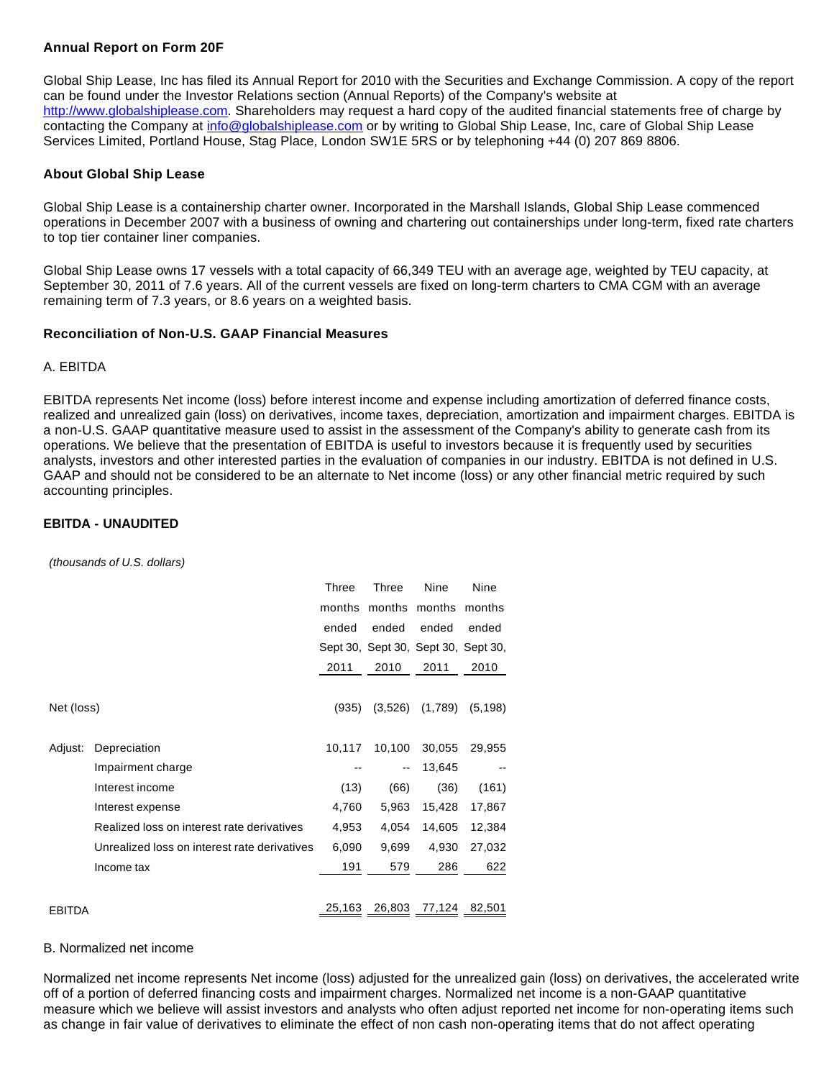### **Annual Report on Form 20F**

Global Ship Lease, Inc has filed its Annual Report for 2010 with the Securities and Exchange Commission. A copy of the report can be found under the Investor Relations section (Annual Reports) of the Company's website at [http://www.globalshiplease.com](http://www.globalshiplease.com/). Shareholders may request a hard copy of the audited financial statements free of charge by contacting the Company at [info@globalshiplease.com](http://www.globenewswire.com/newsroom/ctr?d=238136&l=54&a=info%40globalshiplease.com&u=mailto%3Ainfo%40globalshiplease.com) or by writing to Global Ship Lease, Inc, care of Global Ship Lease Services Limited, Portland House, Stag Place, London SW1E 5RS or by telephoning +44 (0) 207 869 8806.

### **About Global Ship Lease**

Global Ship Lease is a containership charter owner. Incorporated in the Marshall Islands, Global Ship Lease commenced operations in December 2007 with a business of owning and chartering out containerships under long-term, fixed rate charters to top tier container liner companies.

Global Ship Lease owns 17 vessels with a total capacity of 66,349 TEU with an average age, weighted by TEU capacity, at September 30, 2011 of 7.6 years. All of the current vessels are fixed on long-term charters to CMA CGM with an average remaining term of 7.3 years, or 8.6 years on a weighted basis.

## **Reconciliation of Non-U.S. GAAP Financial Measures**

### A. EBITDA

EBITDA represents Net income (loss) before interest income and expense including amortization of deferred finance costs, realized and unrealized gain (loss) on derivatives, income taxes, depreciation, amortization and impairment charges. EBITDA is a non-U.S. GAAP quantitative measure used to assist in the assessment of the Company's ability to generate cash from its operations. We believe that the presentation of EBITDA is useful to investors because it is frequently used by securities analysts, investors and other interested parties in the evaluation of companies in our industry. EBITDA is not defined in U.S. GAAP and should not be considered to be an alternate to Net income (loss) or any other financial metric required by such accounting principles.

## **EBITDA - UNAUDITED**

(thousands of U.S. dollars)

|            |                                              | Three  | Three                               | Nine    | Nine     |
|------------|----------------------------------------------|--------|-------------------------------------|---------|----------|
|            |                                              | months | months months                       |         | months   |
|            |                                              | ended  | ended                               | ended   | ended    |
|            |                                              |        | Sept 30, Sept 30, Sept 30, Sept 30, |         |          |
|            |                                              | 2011   | 2010                                | 2011    | 2010     |
|            |                                              |        |                                     |         |          |
| Net (loss) |                                              | (935)  | (3,526)                             | (1,789) | (5, 198) |
|            |                                              |        |                                     |         |          |
| Adjust:    | Depreciation                                 | 10,117 | 10,100                              | 30,055  | 29,955   |
|            | Impairment charge                            |        | --                                  | 13,645  |          |
|            | Interest income                              | (13)   | (66)                                | (36)    | (161)    |
|            | Interest expense                             | 4,760  | 5,963                               | 15,428  | 17,867   |
|            | Realized loss on interest rate derivatives   | 4,953  | 4,054                               | 14,605  | 12,384   |
|            | Unrealized loss on interest rate derivatives | 6,090  | 9,699                               | 4,930   | 27,032   |
|            | Income tax                                   | 191    | 579                                 | 286     | 622      |
|            |                                              |        |                                     |         |          |
| EBITDA     |                                              | 25,163 | 26,803                              | 77,124  | 82,501   |
|            |                                              |        |                                     |         |          |

### B. Normalized net income

Normalized net income represents Net income (loss) adjusted for the unrealized gain (loss) on derivatives, the accelerated write off of a portion of deferred financing costs and impairment charges. Normalized net income is a non-GAAP quantitative measure which we believe will assist investors and analysts who often adjust reported net income for non-operating items such as change in fair value of derivatives to eliminate the effect of non cash non-operating items that do not affect operating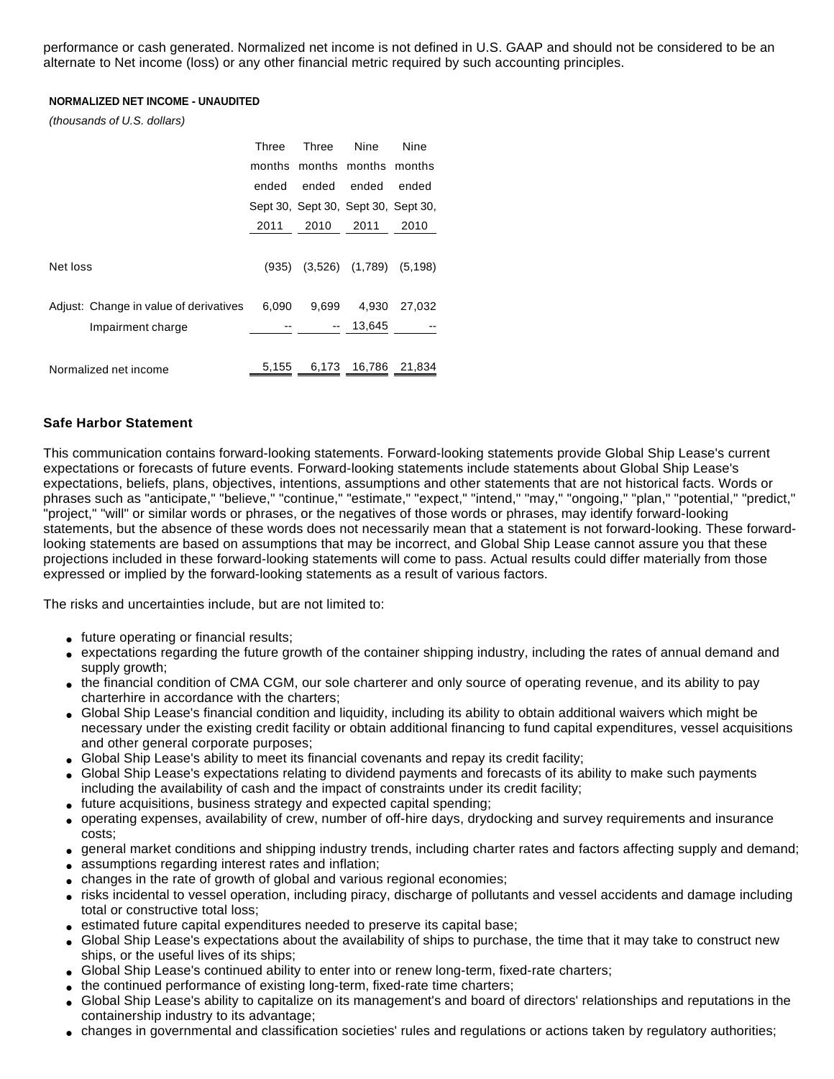performance or cash generated. Normalized net income is not defined in U.S. GAAP and should not be considered to be an alternate to Net income (loss) or any other financial metric required by such accounting principles.

#### **NORMALIZED NET INCOME - UNAUDITED**

(thousands of U.S. dollars)

|                                        | Three | Three                               | Nine   | Nine                          |
|----------------------------------------|-------|-------------------------------------|--------|-------------------------------|
|                                        |       | months months months months         |        |                               |
|                                        | ended | ended                               | ended  | ended                         |
|                                        |       | Sept 30, Sept 30, Sept 30, Sept 30, |        |                               |
|                                        | 2011  | 2010                                | 2011   | 2010                          |
|                                        |       |                                     |        |                               |
| Net loss                               | (935) |                                     |        | $(3,526)$ $(1,789)$ $(5,198)$ |
|                                        |       |                                     |        |                               |
| Adjust: Change in value of derivatives | 6,090 | 9,699                               | 4,930  | 27,032                        |
| Impairment charge                      |       |                                     | 13,645 |                               |
|                                        |       |                                     |        |                               |
| Normalized net income                  | 5,155 | 6,173                               | 16,786 | 21,834                        |

#### **Safe Harbor Statement**

This communication contains forward-looking statements. Forward-looking statements provide Global Ship Lease's current expectations or forecasts of future events. Forward-looking statements include statements about Global Ship Lease's expectations, beliefs, plans, objectives, intentions, assumptions and other statements that are not historical facts. Words or phrases such as "anticipate," "believe," "continue," "estimate," "expect," "intend," "may," "ongoing," "plan," "potential," "predict," "project," "will" or similar words or phrases, or the negatives of those words or phrases, may identify forward-looking statements, but the absence of these words does not necessarily mean that a statement is not forward-looking. These forwardlooking statements are based on assumptions that may be incorrect, and Global Ship Lease cannot assure you that these projections included in these forward-looking statements will come to pass. Actual results could differ materially from those expressed or implied by the forward-looking statements as a result of various factors.

The risks and uncertainties include, but are not limited to:

- future operating or financial results;
- expectations regarding the future growth of the container shipping industry, including the rates of annual demand and supply growth;
- the financial condition of CMA CGM, our sole charterer and only source of operating revenue, and its ability to pay charterhire in accordance with the charters;
- Global Ship Lease's financial condition and liquidity, including its ability to obtain additional waivers which might be necessary under the existing credit facility or obtain additional financing to fund capital expenditures, vessel acquisitions and other general corporate purposes;
- Global Ship Lease's ability to meet its financial covenants and repay its credit facility;
- Global Ship Lease's expectations relating to dividend payments and forecasts of its ability to make such payments including the availability of cash and the impact of constraints under its credit facility;
- future acquisitions, business strategy and expected capital spending;
- operating expenses, availability of crew, number of off-hire days, drydocking and survey requirements and insurance costs;
- general market conditions and shipping industry trends, including charter rates and factors affecting supply and demand; • assumptions regarding interest rates and inflation;
- changes in the rate of growth of global and various regional economies;
- risks incidental to vessel operation, including piracy, discharge of pollutants and vessel accidents and damage including total or constructive total loss;
- estimated future capital expenditures needed to preserve its capital base;
- Global Ship Lease's expectations about the availability of ships to purchase, the time that it may take to construct new ships, or the useful lives of its ships;
- Global Ship Lease's continued ability to enter into or renew long-term, fixed-rate charters;
- the continued performance of existing long-term, fixed-rate time charters;
- Global Ship Lease's ability to capitalize on its management's and board of directors' relationships and reputations in the containership industry to its advantage;
- changes in governmental and classification societies' rules and regulations or actions taken by regulatory authorities;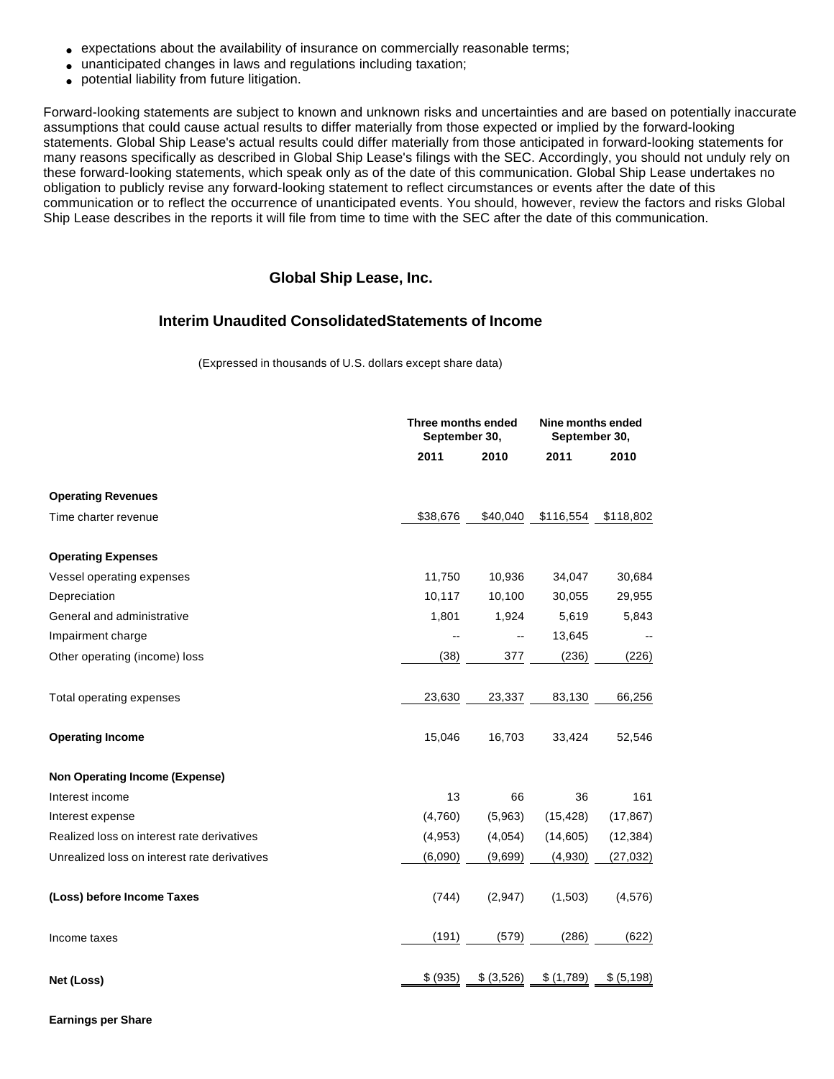- expectations about the availability of insurance on commercially reasonable terms;
- unanticipated changes in laws and regulations including taxation;
- potential liability from future litigation.

Forward-looking statements are subject to known and unknown risks and uncertainties and are based on potentially inaccurate assumptions that could cause actual results to differ materially from those expected or implied by the forward-looking statements. Global Ship Lease's actual results could differ materially from those anticipated in forward-looking statements for many reasons specifically as described in Global Ship Lease's filings with the SEC. Accordingly, you should not unduly rely on these forward-looking statements, which speak only as of the date of this communication. Global Ship Lease undertakes no obligation to publicly revise any forward-looking statement to reflect circumstances or events after the date of this communication or to reflect the occurrence of unanticipated events. You should, however, review the factors and risks Global Ship Lease describes in the reports it will file from time to time with the SEC after the date of this communication.

## **Global Ship Lease, Inc.**

## **Interim Unaudited ConsolidatedStatements of Income**

(Expressed in thousands of U.S. dollars except share data)

|                                              |          | Three months ended<br>September 30, |           | Nine months ended<br>September 30, |  |
|----------------------------------------------|----------|-------------------------------------|-----------|------------------------------------|--|
|                                              | 2011     | 2010                                | 2011      | 2010                               |  |
| <b>Operating Revenues</b>                    |          |                                     |           |                                    |  |
| Time charter revenue                         | \$38,676 | \$40,040                            | \$116,554 | \$118,802                          |  |
| <b>Operating Expenses</b>                    |          |                                     |           |                                    |  |
| Vessel operating expenses                    | 11,750   | 10,936                              | 34,047    | 30,684                             |  |
| Depreciation                                 | 10,117   | 10,100                              | 30,055    | 29,955                             |  |
| General and administrative                   | 1,801    | 1,924                               | 5,619     | 5,843                              |  |
| Impairment charge                            |          | $\overline{\phantom{a}}$            | 13,645    |                                    |  |
| Other operating (income) loss                | (38)     | 377                                 | (236)     | (226)                              |  |
| Total operating expenses                     | 23,630   | 23,337                              | 83,130    | 66,256                             |  |
| <b>Operating Income</b>                      | 15,046   | 16,703                              | 33,424    | 52,546                             |  |
| <b>Non Operating Income (Expense)</b>        |          |                                     |           |                                    |  |
| Interest income                              | 13       | 66                                  | 36        | 161                                |  |
| Interest expense                             | (4,760)  | (5,963)                             | (15, 428) | (17, 867)                          |  |
| Realized loss on interest rate derivatives   | (4,953)  | (4,054)                             | (14,605)  | (12, 384)                          |  |
| Unrealized loss on interest rate derivatives | (6,090)  | (9,699)                             | (4,930)   | (27, 032)                          |  |
| (Loss) before Income Taxes                   | (744)    | (2,947)                             | (1, 503)  | (4, 576)                           |  |
| Income taxes                                 | (191)    | (579)                               | (286)     | (622)                              |  |
| Net (Loss)                                   | \$ (935) | \$ (3,526)                          | \$(1,789) | \$ (5, 198)                        |  |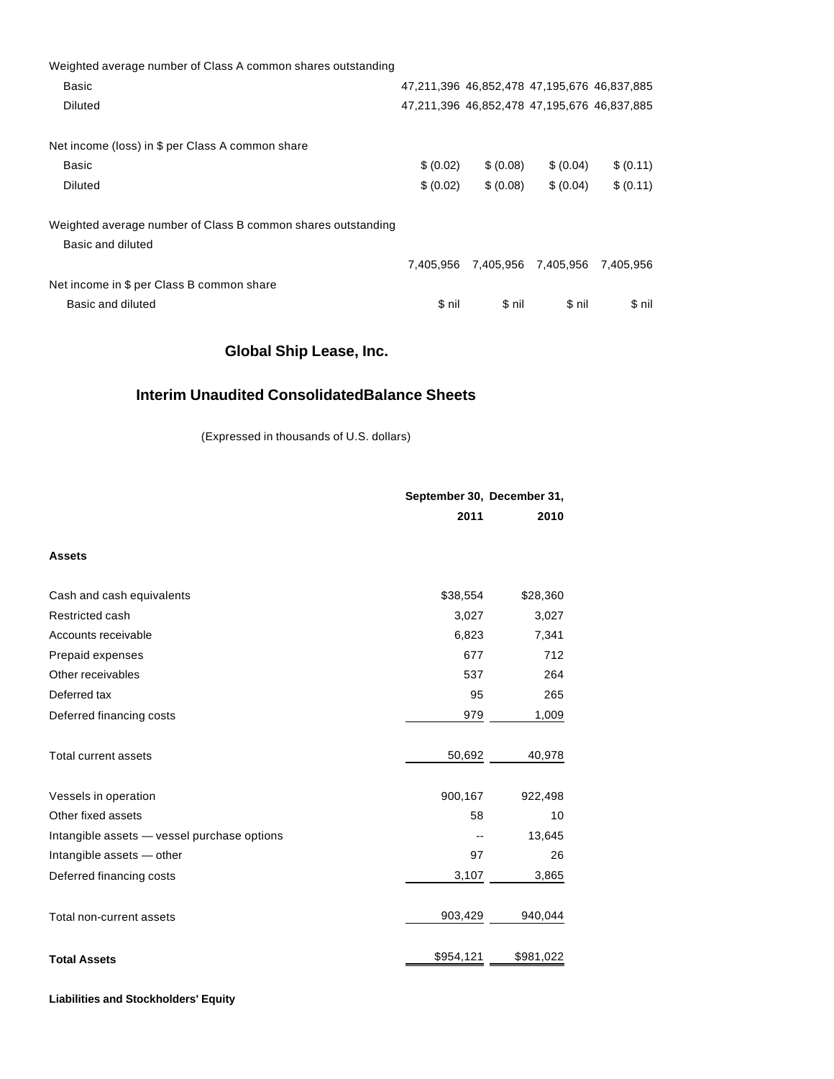| Weighted average number of Class A common shares outstanding |                                             |           |                     |           |
|--------------------------------------------------------------|---------------------------------------------|-----------|---------------------|-----------|
| Basic                                                        | 47,211,396 46,852,478 47,195,676 46,837,885 |           |                     |           |
| Diluted                                                      | 47,211,396 46,852,478 47,195,676 46,837,885 |           |                     |           |
| Net income (loss) in \$ per Class A common share             |                                             |           |                     |           |
| Basic                                                        | \$ (0.02)                                   | \$ (0.08) | \$ (0.04)           | \$ (0.11) |
| Diluted                                                      | \$ (0.02)                                   | \$ (0.08) | \$(0.04)            | \$ (0.11) |
| Weighted average number of Class B common shares outstanding |                                             |           |                     |           |
| Basic and diluted                                            |                                             |           |                     |           |
|                                                              | 7.405.956                                   |           | 7,405,956 7,405,956 | 7.405.956 |
| Net income in \$ per Class B common share                    |                                             |           |                     |           |
| Basic and diluted                                            | \$ nil                                      | \$ nil    | \$ nil              | \$ nil    |

## **Global Ship Lease, Inc.**

## **Interim Unaudited ConsolidatedBalance Sheets**

(Expressed in thousands of U.S. dollars)

|                                             | September 30, December 31,<br>2011 | 2010      |
|---------------------------------------------|------------------------------------|-----------|
|                                             |                                    |           |
| <b>Assets</b>                               |                                    |           |
| Cash and cash equivalents                   | \$38,554                           | \$28,360  |
| Restricted cash                             | 3,027                              | 3,027     |
| Accounts receivable                         | 6,823                              | 7,341     |
| Prepaid expenses                            | 677                                | 712       |
| Other receivables                           | 537                                | 264       |
| Deferred tax                                | 95                                 | 265       |
| Deferred financing costs                    | 979                                | 1,009     |
|                                             |                                    |           |
| Total current assets                        | 50,692                             | 40,978    |
|                                             |                                    |           |
| Vessels in operation                        | 900,167                            | 922,498   |
| Other fixed assets                          | 58                                 | 10        |
| Intangible assets - vessel purchase options | $-$                                | 13,645    |
| Intangible assets - other                   | 97                                 | 26        |
| Deferred financing costs                    | 3,107                              | 3,865     |
|                                             |                                    |           |
| Total non-current assets                    | 903,429                            | 940,044   |
|                                             |                                    |           |
| <b>Total Assets</b>                         | \$954,121                          | \$981,022 |
|                                             |                                    |           |

#### **Liabilities and Stockholders' Equity**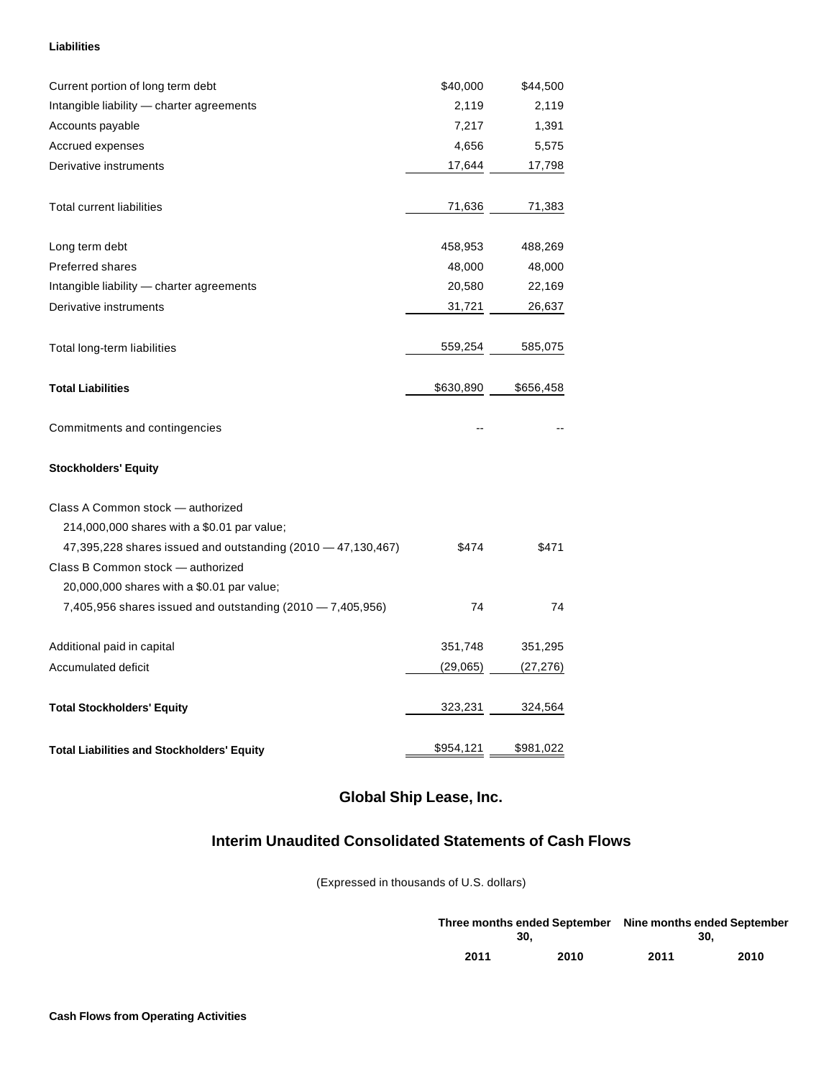### **Liabilities**

| Current portion of long term debt                            | \$40,000  | \$44,500  |
|--------------------------------------------------------------|-----------|-----------|
| Intangible liability - charter agreements                    | 2,119     | 2,119     |
| Accounts payable                                             | 7,217     | 1,391     |
| Accrued expenses                                             | 4,656     | 5,575     |
| Derivative instruments                                       | 17,644    | 17,798    |
| <b>Total current liabilities</b>                             | 71,636    | 71,383    |
| Long term debt                                               | 458,953   | 488,269   |
| <b>Preferred shares</b>                                      | 48,000    | 48,000    |
| Intangible liability - charter agreements                    | 20,580    | 22,169    |
| Derivative instruments                                       | 31,721    | 26,637    |
| Total long-term liabilities                                  | 559,254   | 585,075   |
| <b>Total Liabilities</b>                                     | \$630,890 | \$656,458 |
| Commitments and contingencies                                |           |           |
| <b>Stockholders' Equity</b>                                  |           |           |
| Class A Common stock - authorized                            |           |           |
| 214,000,000 shares with a \$0.01 par value;                  |           |           |
| 47,395,228 shares issued and outstanding (2010 – 47,130,467) | \$474     | \$471     |
| Class B Common stock - authorized                            |           |           |
| 20,000,000 shares with a \$0.01 par value;                   |           |           |
| 7,405,956 shares issued and outstanding (2010 - 7,405,956)   | 74        | 74        |
| Additional paid in capital                                   | 351,748   | 351,295   |
| Accumulated deficit                                          | (29,065)  | (27,276)  |
| <b>Total Stockholders' Equity</b>                            | 323,231   | 324,564   |
| <b>Total Liabilities and Stockholders' Equity</b>            | \$954,121 | \$981,022 |

# **Global Ship Lease, Inc.**

## **Interim Unaudited Consolidated Statements of Cash Flows**

(Expressed in thousands of U.S. dollars)

| Three months ended September Nine months ended September<br>30 |      | 30,  |      |
|----------------------------------------------------------------|------|------|------|
| 2011                                                           | 2010 | 2011 | 2010 |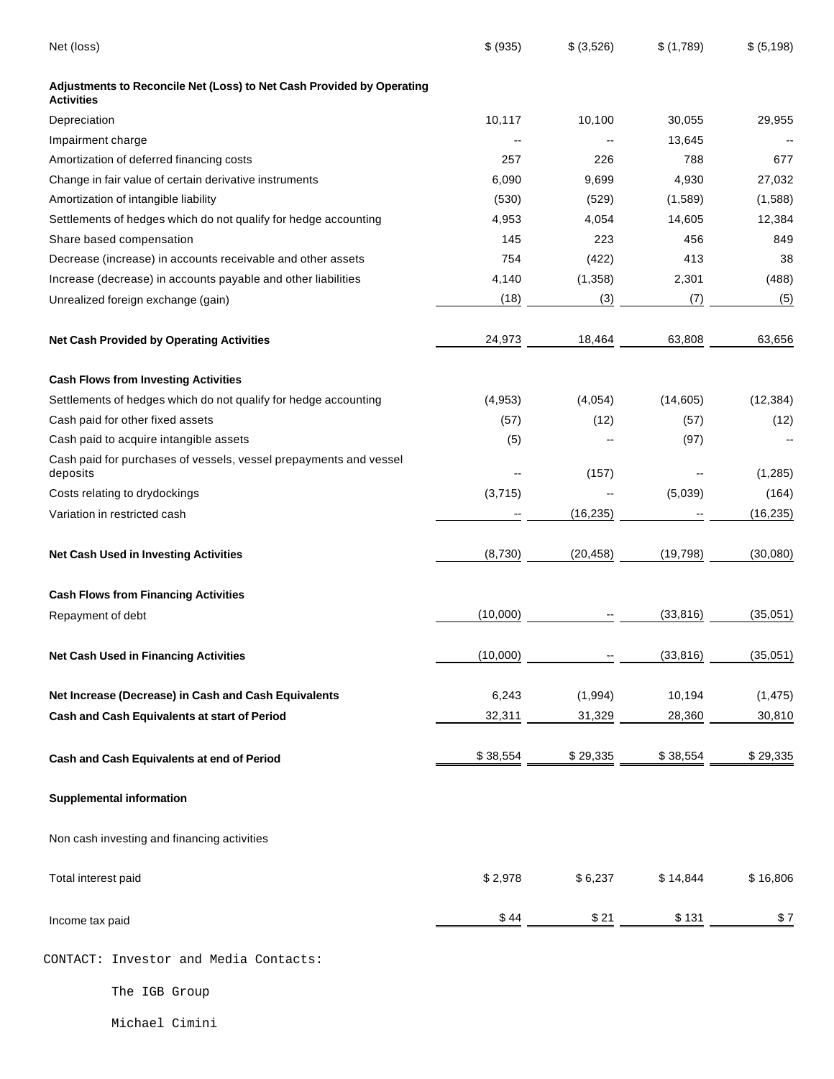| Net (loss)                                                                                 | \$ (935) | \$ (3,526) | \$(1,789) | \$ (5, 198) |
|--------------------------------------------------------------------------------------------|----------|------------|-----------|-------------|
| Adjustments to Reconcile Net (Loss) to Net Cash Provided by Operating<br><b>Activities</b> |          |            |           |             |
| Depreciation                                                                               | 10,117   | 10,100     | 30,055    | 29,955      |
| Impairment charge                                                                          |          |            | 13,645    |             |
| Amortization of deferred financing costs                                                   | 257      | 226        | 788       | 677         |
| Change in fair value of certain derivative instruments                                     | 6,090    | 9,699      | 4,930     | 27,032      |
| Amortization of intangible liability                                                       | (530)    | (529)      | (1,589)   | (1,588)     |
| Settlements of hedges which do not qualify for hedge accounting                            | 4,953    | 4,054      | 14,605    | 12,384      |
| Share based compensation                                                                   | 145      | 223        | 456       | 849         |
| Decrease (increase) in accounts receivable and other assets                                | 754      | (422)      | 413       | 38          |
| Increase (decrease) in accounts payable and other liabilities                              | 4,140    | (1, 358)   | 2,301     | (488)       |
| Unrealized foreign exchange (gain)                                                         | (18)     | (3)        | (7)       | (5)         |
| <b>Net Cash Provided by Operating Activities</b>                                           | 24,973   | 18,464     | 63,808    | 63,656      |
| <b>Cash Flows from Investing Activities</b>                                                |          |            |           |             |
| Settlements of hedges which do not qualify for hedge accounting                            | (4,953)  | (4,054)    | (14, 605) | (12, 384)   |
| Cash paid for other fixed assets                                                           | (57)     | (12)       | (57)      | (12)        |
| Cash paid to acquire intangible assets                                                     | (5)      |            | (97)      |             |
| Cash paid for purchases of vessels, vessel prepayments and vessel<br>deposits              |          | (157)      |           | (1,285)     |
| Costs relating to drydockings                                                              | (3,715)  |            | (5,039)   | (164)       |
| Variation in restricted cash                                                               |          | (16, 235)  |           | (16, 235)   |
| <b>Net Cash Used in Investing Activities</b>                                               | (8,730)  | (20, 458)  | (19, 798) | (30,080)    |
| <b>Cash Flows from Financing Activities</b>                                                |          |            |           |             |
| Repayment of debt                                                                          | (10,000) |            | (33, 816) | (35,051)    |
| <b>Net Cash Used in Financing Activities</b>                                               | (10,000) |            | (33, 816) | (35,051)    |
| Net Increase (Decrease) in Cash and Cash Equivalents                                       | 6,243    | (1,994)    | 10,194    | (1, 475)    |
| Cash and Cash Equivalents at start of Period                                               | 32,311   | 31,329     | 28,360    | 30,810      |
| Cash and Cash Equivalents at end of Period                                                 | \$38,554 | \$29,335   | \$38,554  | \$29,335    |
| <b>Supplemental information</b>                                                            |          |            |           |             |
| Non cash investing and financing activities                                                |          |            |           |             |
| Total interest paid                                                                        | \$2,978  | \$6,237    | \$14,844  | \$16,806    |
| Income tax paid                                                                            | \$44     | \$21       | \$131     | \$7         |
| CONTACT: Investor and Media Contacts:                                                      |          |            |           |             |
| The IGB Group                                                                              |          |            |           |             |
|                                                                                            |          |            |           |             |

Michael Cimini